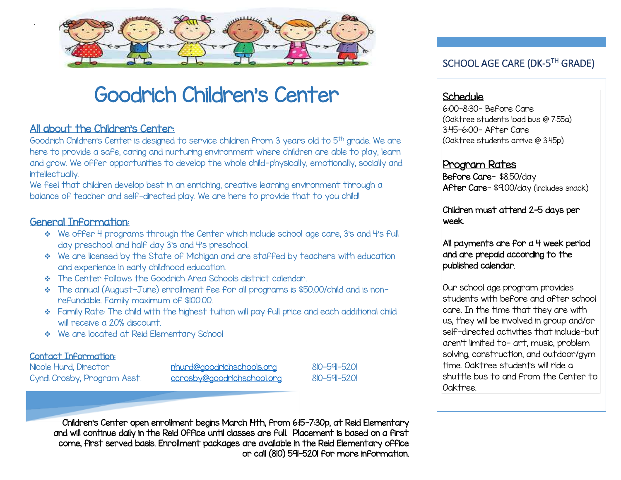

# Goodrich Children's Center

# All about the Children's Center:

Goodrich Children's Center is designed to service children from 3 years old to 5<sup>th</sup> grade. We are here to provide a safe, caring and nurturing environment where children are able to play, learn and grow. We offer opportunities to develop the whole child-physically, emotionally, socially and intellectually.

We feel that children develop best in an enriching, creative learning environment through a balance of teacher and self-directed play. We are here to provide that to you child!

#### General Information:

.

- We offer 4 programs through the Center which include school age care, 3's and 4's full day preschool and half day 3's and 4's preschool.
- We are licensed by the State of Michigan and are staffed by teachers with education and experience in early childhood education.
- The Center follows the Goodrich Area Schools district calendar.
- \* The annual (August-June) enrollment fee for all programs is \$50.00/child and is nonrefundable. Family maximum of \$100.00.
- \* Family Rate: The child with the highest tuition will pay full price and each additional child will receive a 20% discount.
- We are located at Reid Elementary School

#### Contact Information:

í

Nicole Hurd, Director **[nhurd@goodrichschools.org](mailto:nhurd@goodrichschools.org)** 810-591-5201

Cyndi Crosby, Program Asst. [ccrosby@goodrichschool.org](mailto:ccrosby@goodrichschool.org) 810-591-5201

SCHOOL AGE CARE (DK-5<sup>TH</sup> GRADE)

#### Schedule

6:00-8:30- Before Care (Oaktree students load bus @ 7:55a) 3:45-6:00- After Care (Oaktree students arrive @ 3:45p)

#### Program Rates

Before Care- \$8.50/day After Care- \$9.00/day (includes snack)

Children must attend 2-5 days per week.

All payments are for a 4 week period and are prepaid according to the published calendar.

Our school age program provides students with before and after school care. In the time that they are with us, they will be involved in group and/or self-directed activities that include-but aren't limited to- art, music, problem solving, construction, and outdoor/gym time. Oaktree students will ride a shuttle bus to and from the Center to Oaktree.

Children's Center open enrollment begins March 14th, from 6:15-7:30p, at Reid Elementary and will continue daily in the Reid Office until classes are full. Placement is based on a first come, first served basis. Enrollment packages are available in the Reid Elementary office or call (810) 591-5201 for more information.